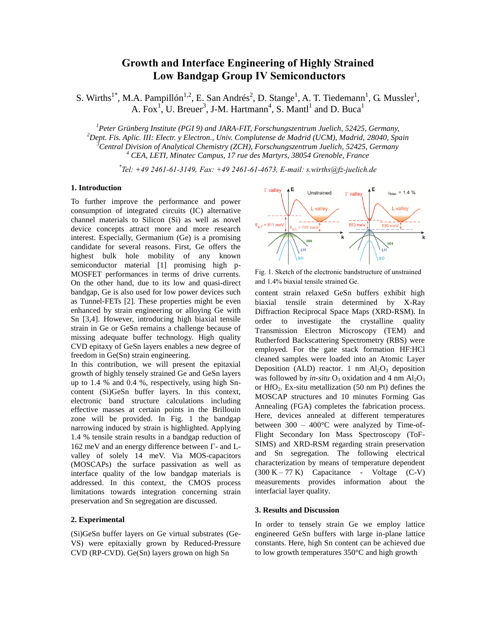# **Growth and Interface Engineering of Highly Strained Low Bandgap Group IV Semiconductors**

S. Wirths<sup>1\*</sup>, M.A. Pampillón<sup>1,2</sup>, E. San Andrés<sup>2</sup>, D. Stange<sup>1</sup>, A. T. Tiedemann<sup>1</sup>, G. Mussler<sup>1</sup>, A. Fox<sup>1</sup>, U. Breuer<sup>3</sup>, J-M. Hartmann<sup>4</sup>, S. Mantl<sup>1</sup> and D. Buca<sup>1</sup>

*Peter Grünberg Institute (PGI 9) and JARA-FIT, Forschungszentrum Juelich, 52425, Germany, Dept. Fis. Aplic. III: Electr. y Electron., Univ. Complutense de Madrid (UCM), Madrid, 28040, Spain Central Division of Analytical Chemistry (ZCH), Forschungszentrum Juelich, 52425, Germany CEA, LETI, Minatec Campus, 17 rue des Martyrs, 38054 Grenoble, France*

*\* Tel: +49 2461-61-3149, Fax: +49 2461-61-4673, E-mail: s.wirths@fz-juelich.de* 

### **1. Introduction**

To further improve the performance and power consumption of integrated circuits (IC) alternative channel materials to Silicon (Si) as well as novel device concepts attract more and more research interest. Especially, Germanium (Ge) is a promising candidate for several reasons. First, Ge offers the highest bulk hole mobility of any known semiconductor material [1] promising high p-MOSFET performances in terms of drive currents. On the other hand, due to its low and quasi-direct bandgap, Ge is also used for low power devices such as Tunnel-FETs [2]. These properties might be even enhanced by strain engineering or alloying Ge with Sn [3,4]. However, introducing high biaxial tensile strain in Ge or GeSn remains a challenge because of missing adequate buffer technology. High quality CVD epitaxy of GeSn layers enables a new degree of freedom in Ge(Sn) strain engineering.

In this contribution, we will present the epitaxial growth of highly tensely strained Ge and GeSn layers up to 1.4 % and 0.4 %, respectively, using high Sncontent (Si)GeSn buffer layers. In this context, electronic band structure calculations including effective masses at certain points in the Brillouin zone will be provided. In Fig. 1 the bandgap narrowing induced by strain is highlighted. Applying 1.4 % tensile strain results in a bandgap reduction of 162 meV and an energy difference between  $\Gamma$ - and Lvalley of solely 14 meV. Via MOS-capacitors (MOSCAPs) the surface passivation as well as interface quality of the low bandgap materials is addressed. In this context, the CMOS process limitations towards integration concerning strain preservation and Sn segregation are discussed.

## **2. Experimental**

(Si)GeSn buffer layers on Ge virtual substrates (Ge-VS) were epitaxially grown by Reduced-Pressure CVD (RP-CVD). Ge(Sn) layers grown on high Sn



Fig. 1. Sketch of the electronic bandstructure of unstrained and 1.4% biaxial tensile strained Ge.

content strain relaxed GeSn buffers exhibit high biaxial tensile strain determined by X-Ray Diffraction Reciprocal Space Maps (XRD-RSM). In order to investigate the crystalline quality Transmission Electron Microscopy (TEM) and Rutherford Backscattering Spectrometry (RBS) were employed. For the gate stack formation HF:HCl cleaned samples were loaded into an Atomic Layer Deposition (ALD) reactor. 1 nm  $Al_2O_3$  deposition was followed by *in-situ*  $O_3$  oxidation and 4 nm Al<sub>2</sub>O<sub>3</sub> or  $HfO<sub>2</sub>$ . Ex-situ metallization (50 nm Pt) defines the MOSCAP structures and 10 minutes Forming Gas Annealing (FGA) completes the fabrication process. Here, devices annealed at different temperatures between  $300 - 400^{\circ}$ C were analyzed by Time-of-Flight Secondary Ion Mass Spectroscopy (ToF-SIMS) and XRD-RSM regarding strain preservation and Sn segregation. The following electrical characterization by means of temperature dependent  $(300 K - 77 K)$  Capacitance - Voltage  $(C-V)$ measurements provides information about the interfacial layer quality.

## **3. Results and Discussion**

In order to tensely strain Ge we employ lattice engineered GeSn buffers with large in-plane lattice constants. Here, high Sn content can be achieved due to low growth temperatures 350°C and high growth